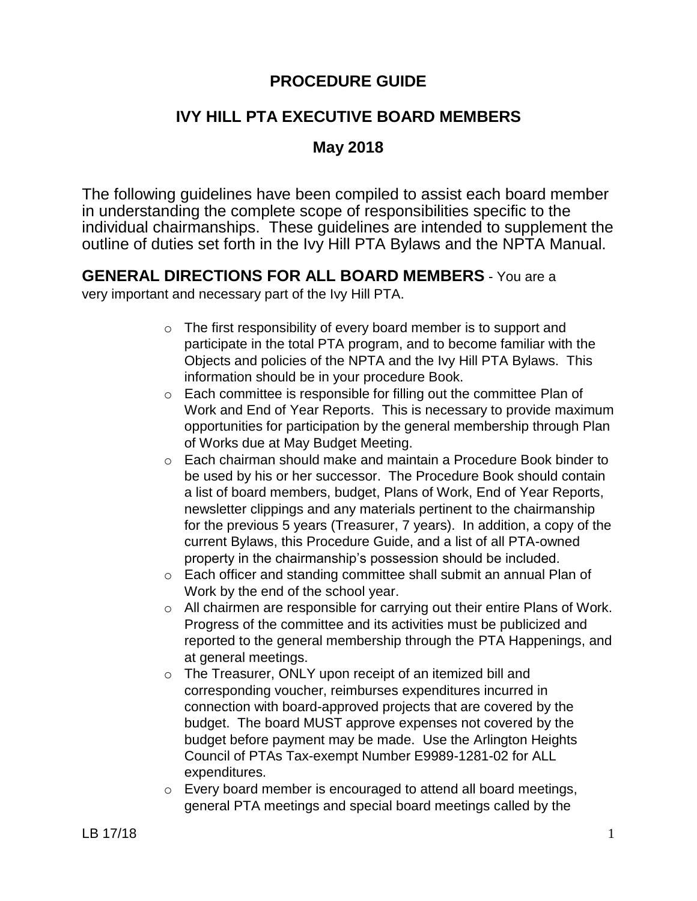# **PROCEDURE GUIDE**

# **IVY HILL PTA EXECUTIVE BOARD MEMBERS**

# **May 2018**

The following guidelines have been compiled to assist each board member in understanding the complete scope of responsibilities specific to the individual chairmanships. These guidelines are intended to supplement the outline of duties set forth in the Ivy Hill PTA Bylaws and the NPTA Manual.

# **GENERAL DIRECTIONS FOR ALL BOARD MEMBERS** - You are a

very important and necessary part of the Ivy Hill PTA.

- $\circ$  The first responsibility of every board member is to support and participate in the total PTA program, and to become familiar with the Objects and policies of the NPTA and the Ivy Hill PTA Bylaws. This information should be in your procedure Book.
- o Each committee is responsible for filling out the committee Plan of Work and End of Year Reports. This is necessary to provide maximum opportunities for participation by the general membership through Plan of Works due at May Budget Meeting.
- o Each chairman should make and maintain a Procedure Book binder to be used by his or her successor. The Procedure Book should contain a list of board members, budget, Plans of Work, End of Year Reports, newsletter clippings and any materials pertinent to the chairmanship for the previous 5 years (Treasurer, 7 years). In addition, a copy of the current Bylaws, this Procedure Guide, and a list of all PTA-owned property in the chairmanship's possession should be included.
- o Each officer and standing committee shall submit an annual Plan of Work by the end of the school year.
- o All chairmen are responsible for carrying out their entire Plans of Work. Progress of the committee and its activities must be publicized and reported to the general membership through the PTA Happenings, and at general meetings.
- $\circ$  The Treasurer, ONLY upon receipt of an itemized bill and corresponding voucher, reimburses expenditures incurred in connection with board-approved projects that are covered by the budget. The board MUST approve expenses not covered by the budget before payment may be made. Use the Arlington Heights Council of PTAs Tax-exempt Number E9989-1281-02 for ALL expenditures.
- o Every board member is encouraged to attend all board meetings, general PTA meetings and special board meetings called by the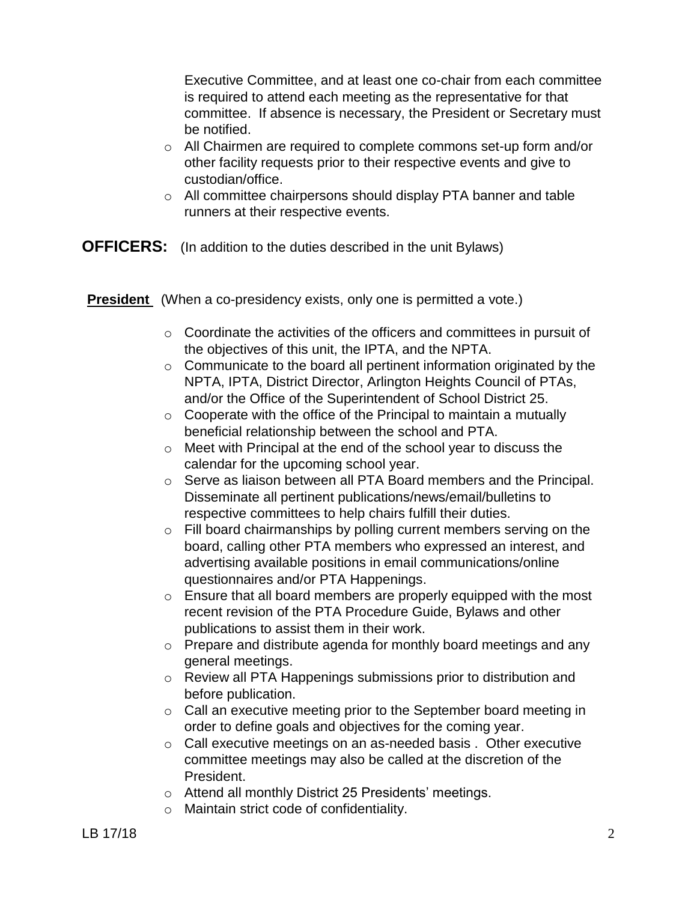Executive Committee, and at least one co-chair from each committee is required to attend each meeting as the representative for that committee. If absence is necessary, the President or Secretary must be notified.

- $\circ$  All Chairmen are required to complete commons set-up form and/or other facility requests prior to their respective events and give to custodian/office.
- o All committee chairpersons should display PTA banner and table runners at their respective events.
- **OFFICERS:** (In addition to the duties described in the unit Bylaws)

**President** (When a co-presidency exists, only one is permitted a vote.)

- $\circ$  Coordinate the activities of the officers and committees in pursuit of the objectives of this unit, the IPTA, and the NPTA.
- o Communicate to the board all pertinent information originated by the NPTA, IPTA, District Director, Arlington Heights Council of PTAs, and/or the Office of the Superintendent of School District 25.
- $\circ$  Cooperate with the office of the Principal to maintain a mutually beneficial relationship between the school and PTA.
- o Meet with Principal at the end of the school year to discuss the calendar for the upcoming school year.
- o Serve as liaison between all PTA Board members and the Principal. Disseminate all pertinent publications/news/email/bulletins to respective committees to help chairs fulfill their duties.
- o Fill board chairmanships by polling current members serving on the board, calling other PTA members who expressed an interest, and advertising available positions in email communications/online questionnaires and/or PTA Happenings.
- $\circ$  Ensure that all board members are properly equipped with the most recent revision of the PTA Procedure Guide, Bylaws and other publications to assist them in their work.
- o Prepare and distribute agenda for monthly board meetings and any general meetings.
- o Review all PTA Happenings submissions prior to distribution and before publication.
- o Call an executive meeting prior to the September board meeting in order to define goals and objectives for the coming year.
- o Call executive meetings on an as-needed basis . Other executive committee meetings may also be called at the discretion of the President.
- o Attend all monthly District 25 Presidents' meetings.
- o Maintain strict code of confidentiality.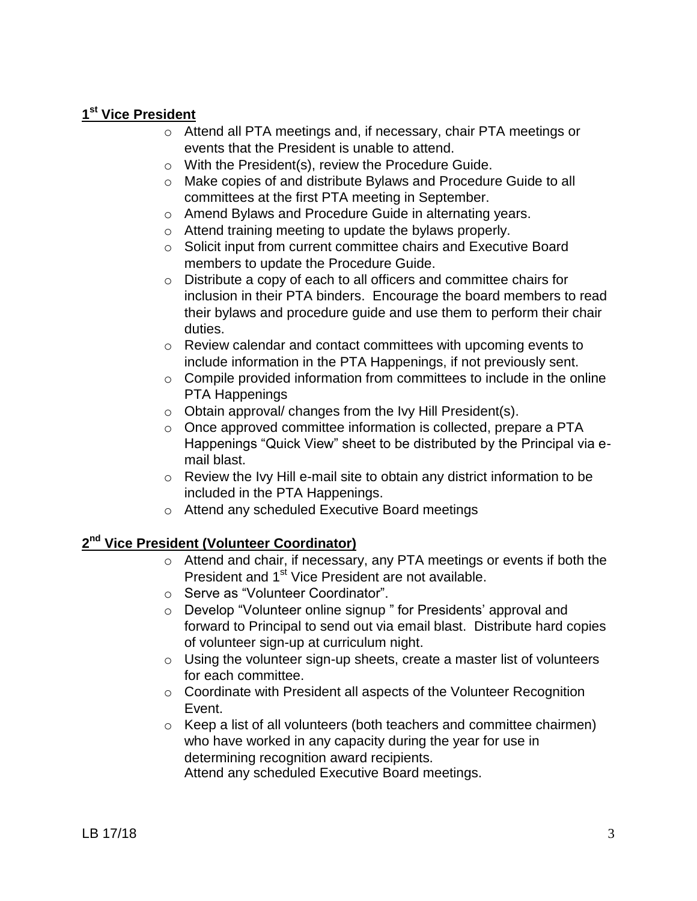## **1 st Vice President**

- o Attend all PTA meetings and, if necessary, chair PTA meetings or events that the President is unable to attend.
- o With the President(s), review the Procedure Guide.
- o Make copies of and distribute Bylaws and Procedure Guide to all committees at the first PTA meeting in September.
- o Amend Bylaws and Procedure Guide in alternating years.
- o Attend training meeting to update the bylaws properly.
- o Solicit input from current committee chairs and Executive Board members to update the Procedure Guide.
- o Distribute a copy of each to all officers and committee chairs for inclusion in their PTA binders. Encourage the board members to read their bylaws and procedure guide and use them to perform their chair duties.
- o Review calendar and contact committees with upcoming events to include information in the PTA Happenings, if not previously sent.
- $\circ$  Compile provided information from committees to include in the online PTA Happenings
- o Obtain approval/ changes from the Ivy Hill President(s).
- o Once approved committee information is collected, prepare a PTA Happenings "Quick View" sheet to be distributed by the Principal via email blast.
- o Review the Ivy Hill e-mail site to obtain any district information to be included in the PTA Happenings.
- o Attend any scheduled Executive Board meetings

## **2 nd Vice President (Volunteer Coordinator)**

- o Attend and chair, if necessary, any PTA meetings or events if both the President and 1<sup>st</sup> Vice President are not available.
- o Serve as "Volunteer Coordinator".
- o Develop "Volunteer online signup " for Presidents' approval and forward to Principal to send out via email blast. Distribute hard copies of volunteer sign-up at curriculum night.
- $\circ$  Using the volunteer sign-up sheets, create a master list of volunteers for each committee.
- o Coordinate with President all aspects of the Volunteer Recognition Event.
- o Keep a list of all volunteers (both teachers and committee chairmen) who have worked in any capacity during the year for use in determining recognition award recipients. Attend any scheduled Executive Board meetings.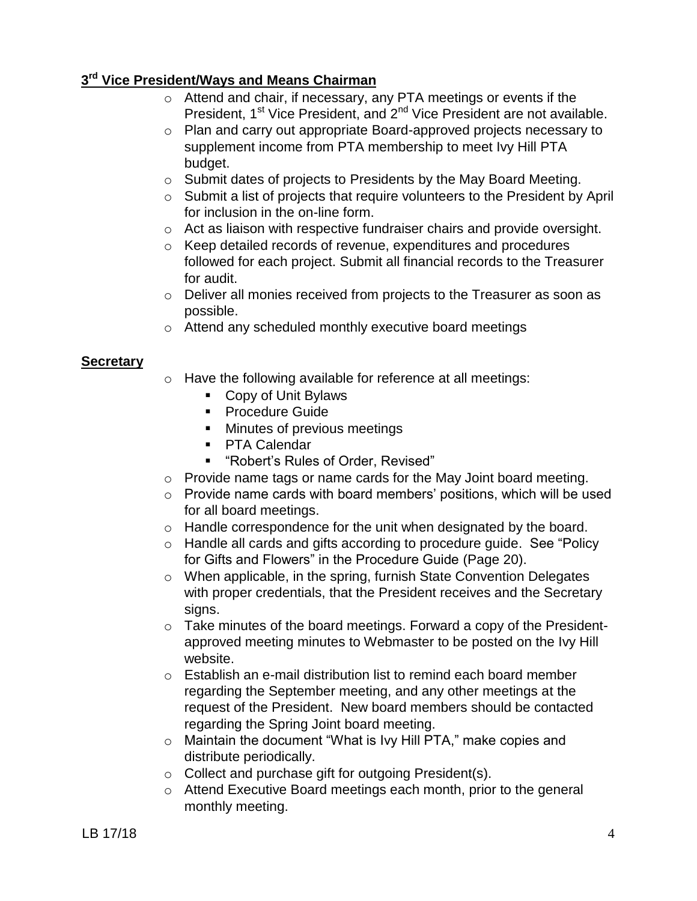## **3 rd Vice President/Ways and Means Chairman**

- $\overline{\circ}$  Attend and chair, if necessary, any PTA meetings or events if the President, 1<sup>st</sup> Vice President, and 2<sup>nd</sup> Vice President are not available.
- o Plan and carry out appropriate Board-approved projects necessary to supplement income from PTA membership to meet Ivy Hill PTA budget.
- o Submit dates of projects to Presidents by the May Board Meeting.
- o Submit a list of projects that require volunteers to the President by April for inclusion in the on-line form.
- o Act as liaison with respective fundraiser chairs and provide oversight.
- o Keep detailed records of revenue, expenditures and procedures followed for each project. Submit all financial records to the Treasurer for audit.
- o Deliver all monies received from projects to the Treasurer as soon as possible.
- o Attend any scheduled monthly executive board meetings

#### **Secretary**

- o Have the following available for reference at all meetings:
	- Copy of Unit Bylaws
	- **Procedure Guide**
	- **Minutes of previous meetings**
	- **PTA Calendar**
	- "Robert's Rules of Order, Revised"
- o Provide name tags or name cards for the May Joint board meeting.
- $\circ$  Provide name cards with board members' positions, which will be used for all board meetings.
- o Handle correspondence for the unit when designated by the board.
- o Handle all cards and gifts according to procedure guide. See "Policy for Gifts and Flowers" in the Procedure Guide (Page 20).
- o When applicable, in the spring, furnish State Convention Delegates with proper credentials, that the President receives and the Secretary signs.
- $\circ$  Take minutes of the board meetings. Forward a copy of the Presidentapproved meeting minutes to Webmaster to be posted on the Ivy Hill website.
- $\circ$  Establish an e-mail distribution list to remind each board member regarding the September meeting, and any other meetings at the request of the President. New board members should be contacted regarding the Spring Joint board meeting.
- o Maintain the document "What is Ivy Hill PTA," make copies and distribute periodically.
- o Collect and purchase gift for outgoing President(s).
- o Attend Executive Board meetings each month, prior to the general monthly meeting.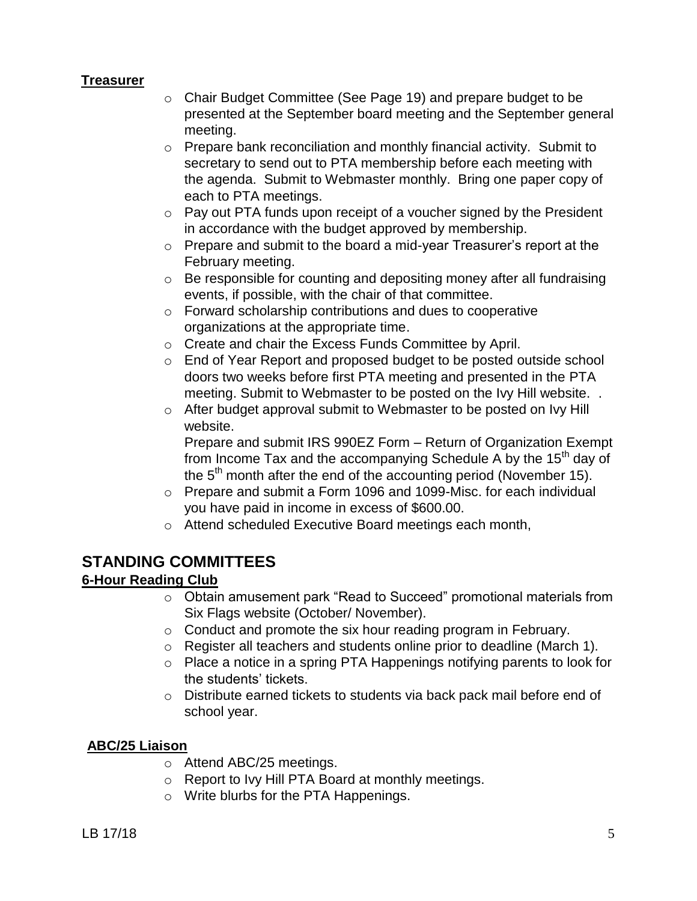#### **Treasurer**

- o Chair Budget Committee (See Page 19) and prepare budget to be presented at the September board meeting and the September general meeting.
- $\circ$  Prepare bank reconciliation and monthly financial activity. Submit to secretary to send out to PTA membership before each meeting with the agenda. Submit to Webmaster monthly. Bring one paper copy of each to PTA meetings.
- $\circ$  Pay out PTA funds upon receipt of a voucher signed by the President in accordance with the budget approved by membership.
- o Prepare and submit to the board a mid-year Treasurer's report at the February meeting.
- o Be responsible for counting and depositing money after all fundraising events, if possible, with the chair of that committee.
- o Forward scholarship contributions and dues to cooperative organizations at the appropriate time.
- o Create and chair the Excess Funds Committee by April.
- o End of Year Report and proposed budget to be posted outside school doors two weeks before first PTA meeting and presented in the PTA meeting. Submit to Webmaster to be posted on the Ivy Hill website. .
- o After budget approval submit to Webmaster to be posted on Ivy Hill website.

Prepare and submit IRS 990EZ Form – Return of Organization Exempt from Income Tax and the accompanying Schedule A by the  $15<sup>th</sup>$  day of the  $5<sup>th</sup>$  month after the end of the accounting period (November 15).

- o Prepare and submit a Form 1096 and 1099-Misc. for each individual you have paid in income in excess of \$600.00.
- o Attend scheduled Executive Board meetings each month,

## **STANDING COMMITTEES**

## **6-Hour Reading Club**

- o Obtain amusement park "Read to Succeed" promotional materials from Six Flags website (October/ November).
- o Conduct and promote the six hour reading program in February.
- o Register all teachers and students online prior to deadline (March 1).
- o Place a notice in a spring PTA Happenings notifying parents to look for the students' tickets.
- $\circ$  Distribute earned tickets to students via back pack mail before end of school year.

#### **ABC/25 Liaison**

- o Attend ABC/25 meetings.
- o Report to Ivy Hill PTA Board at monthly meetings.
- o Write blurbs for the PTA Happenings.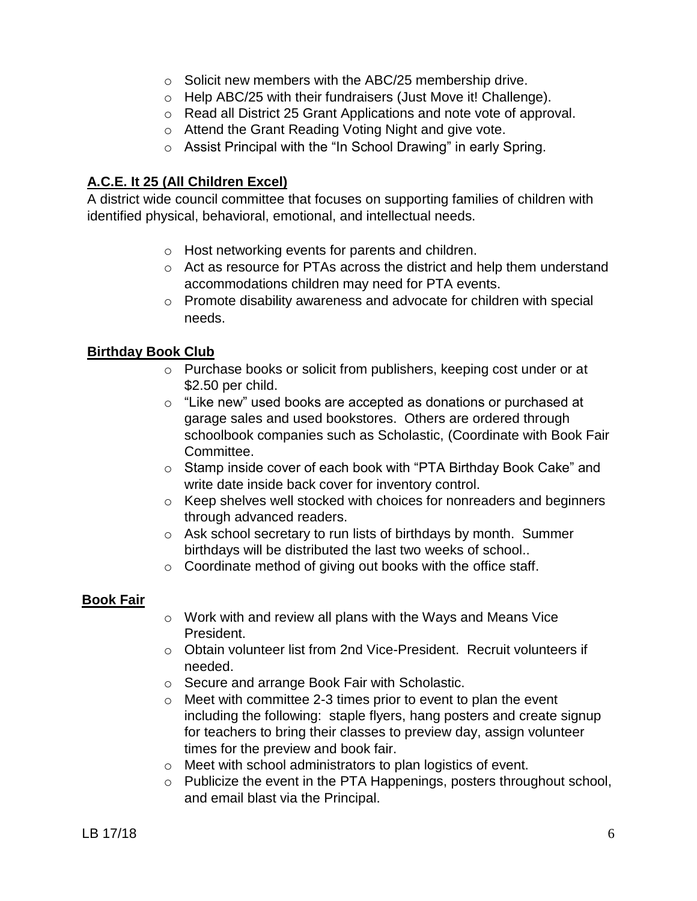- o Solicit new members with the ABC/25 membership drive.
- o Help ABC/25 with their fundraisers (Just Move it! Challenge).
- o Read all District 25 Grant Applications and note vote of approval.
- o Attend the Grant Reading Voting Night and give vote.
- o Assist Principal with the "In School Drawing" in early Spring.

## **A.C.E. It 25 (All Children Excel)**

A district wide council committee that focuses on supporting families of children with identified physical, behavioral, emotional, and intellectual needs.

- o Host networking events for parents and children.
- o Act as resource for PTAs across the district and help them understand accommodations children may need for PTA events.
- o Promote disability awareness and advocate for children with special needs.

## **Birthday Book Club**

- o Purchase books or solicit from publishers, keeping cost under or at \$2.50 per child.
- o "Like new" used books are accepted as donations or purchased at garage sales and used bookstores. Others are ordered through schoolbook companies such as Scholastic, (Coordinate with Book Fair Committee.
- o Stamp inside cover of each book with "PTA Birthday Book Cake" and write date inside back cover for inventory control.
- o Keep shelves well stocked with choices for nonreaders and beginners through advanced readers.
- o Ask school secretary to run lists of birthdays by month. Summer birthdays will be distributed the last two weeks of school..
- o Coordinate method of giving out books with the office staff.

## **Book Fair**

- o Work with and review all plans with the Ways and Means Vice President.
- $\circ$  Obtain volunteer list from 2nd Vice-President. Recruit volunteers if needed.
- o Secure and arrange Book Fair with Scholastic.
- $\circ$  Meet with committee 2-3 times prior to event to plan the event including the following: staple flyers, hang posters and create signup for teachers to bring their classes to preview day, assign volunteer times for the preview and book fair.
- o Meet with school administrators to plan logistics of event.
- o Publicize the event in the PTA Happenings, posters throughout school, and email blast via the Principal.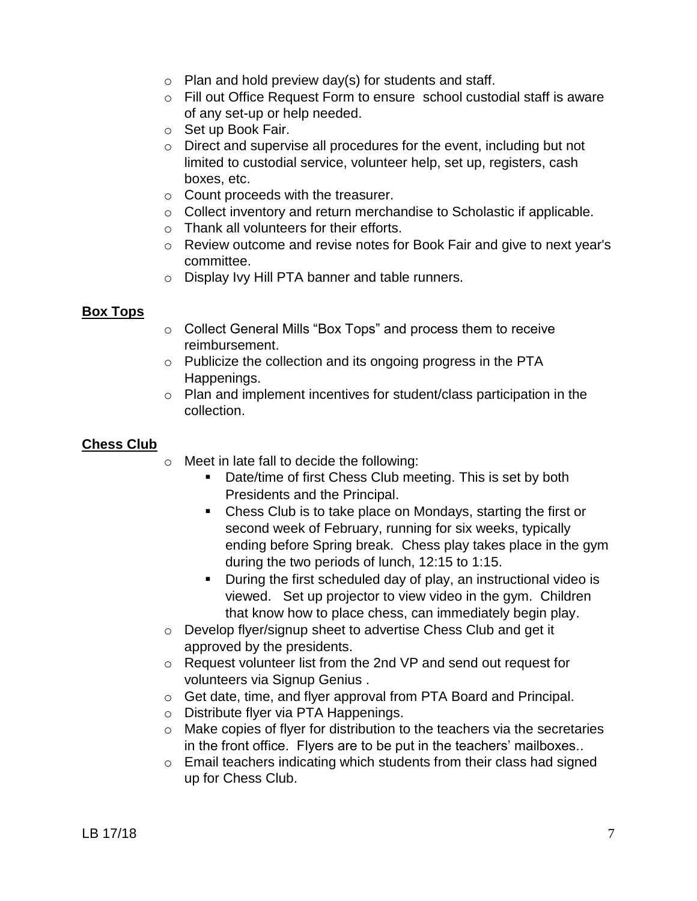- $\circ$  Plan and hold preview day(s) for students and staff.
- o Fill out Office Request Form to ensure school custodial staff is aware of any set-up or help needed.
- o Set up Book Fair.
- o Direct and supervise all procedures for the event, including but not limited to custodial service, volunteer help, set up, registers, cash boxes, etc.
- o Count proceeds with the treasurer.
- o Collect inventory and return merchandise to Scholastic if applicable.
- o Thank all volunteers for their efforts.
- o Review outcome and revise notes for Book Fair and give to next year's committee.
- o Display Ivy Hill PTA banner and table runners.

#### **Box Tops**

- o Collect General Mills "Box Tops" and process them to receive reimbursement.
- o Publicize the collection and its ongoing progress in the PTA Happenings.
- o Plan and implement incentives for student/class participation in the collection.

## **Chess Club**

- o Meet in late fall to decide the following:
	- Date/time of first Chess Club meeting. This is set by both Presidents and the Principal.
	- Chess Club is to take place on Mondays, starting the first or second week of February, running for six weeks, typically ending before Spring break. Chess play takes place in the gym during the two periods of lunch, 12:15 to 1:15.
	- **During the first scheduled day of play, an instructional video is** viewed. Set up projector to view video in the gym. Children that know how to place chess, can immediately begin play.
- o Develop flyer/signup sheet to advertise Chess Club and get it approved by the presidents.
- o Request volunteer list from the 2nd VP and send out request for volunteers via Signup Genius .
- o Get date, time, and flyer approval from PTA Board and Principal.
- o Distribute flyer via PTA Happenings.
- o Make copies of flyer for distribution to the teachers via the secretaries in the front office. Flyers are to be put in the teachers' mailboxes..
- $\circ$  Email teachers indicating which students from their class had signed up for Chess Club.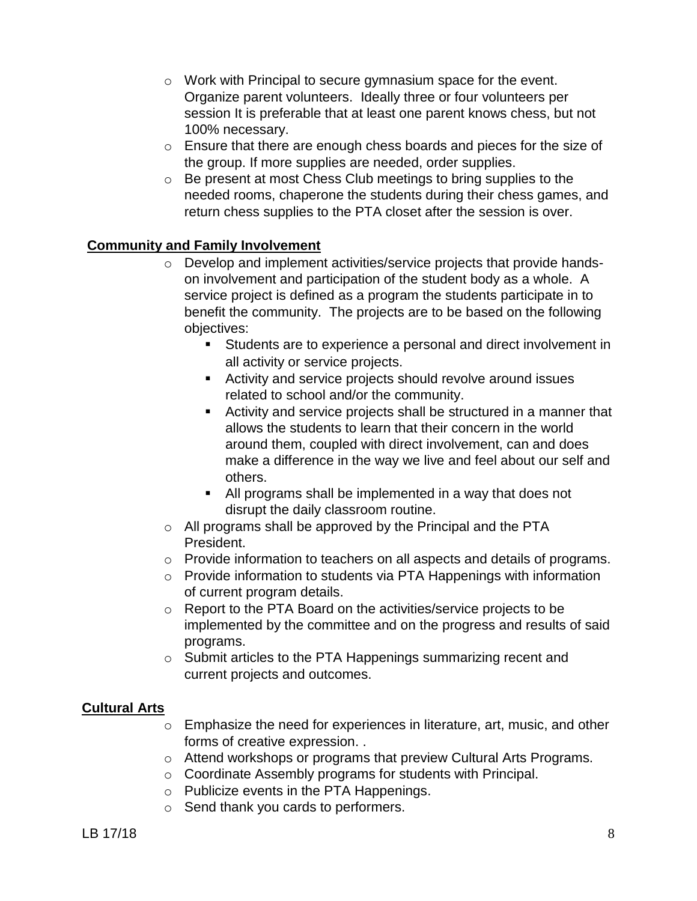- o Work with Principal to secure gymnasium space for the event. Organize parent volunteers. Ideally three or four volunteers per session It is preferable that at least one parent knows chess, but not 100% necessary.
- o Ensure that there are enough chess boards and pieces for the size of the group. If more supplies are needed, order supplies.
- o Be present at most Chess Club meetings to bring supplies to the needed rooms, chaperone the students during their chess games, and return chess supplies to the PTA closet after the session is over.

## **Community and Family Involvement**

- o Develop and implement activities/service projects that provide handson involvement and participation of the student body as a whole. A service project is defined as a program the students participate in to benefit the community. The projects are to be based on the following objectives:
	- Students are to experience a personal and direct involvement in all activity or service projects.
	- Activity and service projects should revolve around issues related to school and/or the community.
	- Activity and service projects shall be structured in a manner that allows the students to learn that their concern in the world around them, coupled with direct involvement, can and does make a difference in the way we live and feel about our self and others.
	- All programs shall be implemented in a way that does not disrupt the daily classroom routine.
- o All programs shall be approved by the Principal and the PTA President.
- $\circ$  Provide information to teachers on all aspects and details of programs.
- o Provide information to students via PTA Happenings with information of current program details.
- o Report to the PTA Board on the activities/service projects to be implemented by the committee and on the progress and results of said programs.
- o Submit articles to the PTA Happenings summarizing recent and current projects and outcomes.

## **Cultural Arts**

- o Emphasize the need for experiences in literature, art, music, and other forms of creative expression. .
- o Attend workshops or programs that preview Cultural Arts Programs.
- o Coordinate Assembly programs for students with Principal.
- o Publicize events in the PTA Happenings.
- o Send thank you cards to performers.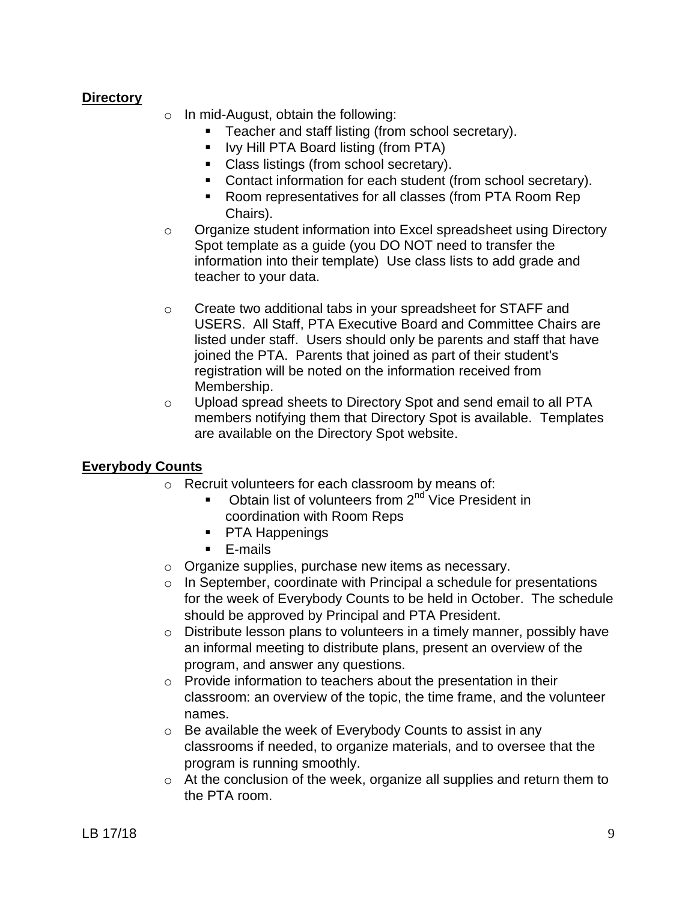### **Directory**

- $\circ$  In mid-August, obtain the following:
	- **Teacher and staff listing (from school secretary).**
	- Ivy Hill PTA Board listing (from PTA)
	- Class listings (from school secretary).
	- **Contact information for each student (from school secretary).**
	- Room representatives for all classes (from PTA Room Rep Chairs).
- $\circ$  Organize student information into Excel spreadsheet using Directory Spot template as a guide (you DO NOT need to transfer the information into their template) Use class lists to add grade and teacher to your data.
- o Create two additional tabs in your spreadsheet for STAFF and USERS. All Staff, PTA Executive Board and Committee Chairs are listed under staff. Users should only be parents and staff that have joined the PTA. Parents that joined as part of their student's registration will be noted on the information received from Membership.
- o Upload spread sheets to Directory Spot and send email to all PTA members notifying them that Directory Spot is available. Templates are available on the Directory Spot website.

## **Everybody Counts**

- o Recruit volunteers for each classroom by means of:
	- Obtain list of volunteers from 2<sup>nd</sup> Vice President in coordination with Room Reps
	- **PTA Happenings**
	- E-mails
- o Organize supplies, purchase new items as necessary.
- o In September, coordinate with Principal a schedule for presentations for the week of Everybody Counts to be held in October. The schedule should be approved by Principal and PTA President.
- o Distribute lesson plans to volunteers in a timely manner, possibly have an informal meeting to distribute plans, present an overview of the program, and answer any questions.
- o Provide information to teachers about the presentation in their classroom: an overview of the topic, the time frame, and the volunteer names.
- o Be available the week of Everybody Counts to assist in any classrooms if needed, to organize materials, and to oversee that the program is running smoothly.
- o At the conclusion of the week, organize all supplies and return them to the PTA room.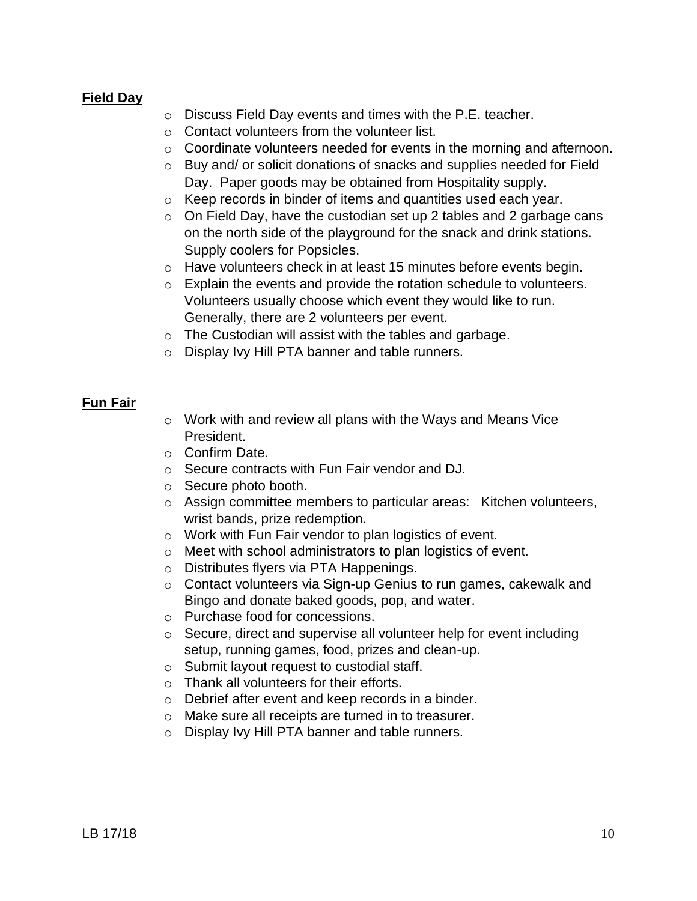#### **Field Day**

- o Discuss Field Day events and times with the P.E. teacher.
- o Contact volunteers from the volunteer list.
- o Coordinate volunteers needed for events in the morning and afternoon.
- o Buy and/ or solicit donations of snacks and supplies needed for Field Day. Paper goods may be obtained from Hospitality supply.
- o Keep records in binder of items and quantities used each year.
- $\circ$  On Field Day, have the custodian set up 2 tables and 2 garbage cans on the north side of the playground for the snack and drink stations. Supply coolers for Popsicles.
- o Have volunteers check in at least 15 minutes before events begin.
- o Explain the events and provide the rotation schedule to volunteers. Volunteers usually choose which event they would like to run. Generally, there are 2 volunteers per event.
- o The Custodian will assist with the tables and garbage.
- o Display Ivy Hill PTA banner and table runners.

#### **Fun Fair**

- o Work with and review all plans with the Ways and Means Vice President.
- o Confirm Date.
- o Secure contracts with Fun Fair vendor and DJ.
- o Secure photo booth.
- $\circ$  Assign committee members to particular areas: Kitchen volunteers, wrist bands, prize redemption.
- o Work with Fun Fair vendor to plan logistics of event.
- o Meet with school administrators to plan logistics of event.
- o Distributes flyers via PTA Happenings.
- o Contact volunteers via Sign-up Genius to run games, cakewalk and Bingo and donate baked goods, pop, and water.
- o Purchase food for concessions.
- o Secure, direct and supervise all volunteer help for event including setup, running games, food, prizes and clean-up.
- o Submit layout request to custodial staff.
- o Thank all volunteers for their efforts.
- o Debrief after event and keep records in a binder.
- o Make sure all receipts are turned in to treasurer.
- o Display Ivy Hill PTA banner and table runners.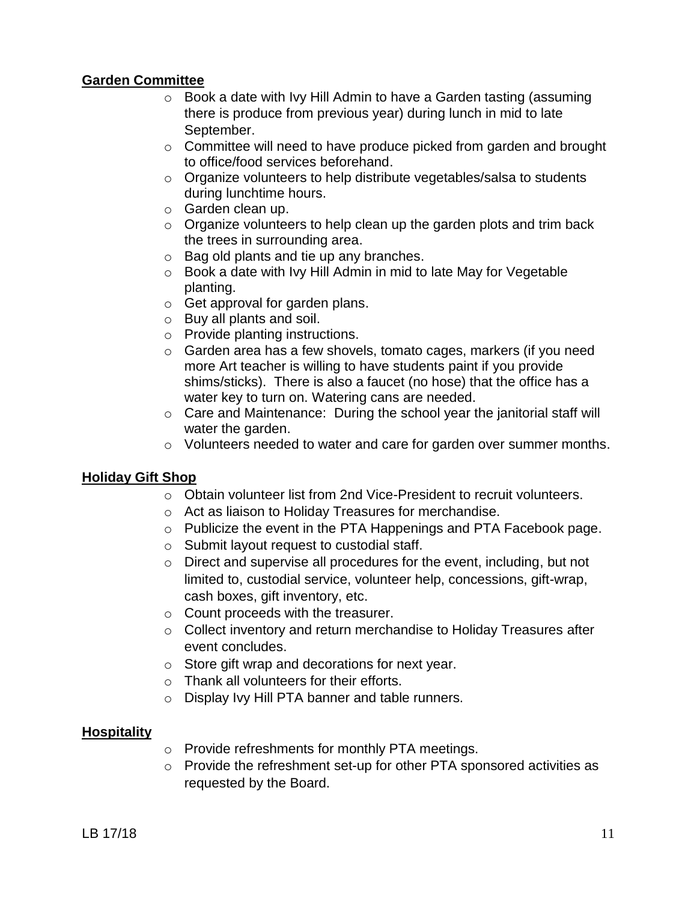### **Garden Committee**

- $\circ$  Book a date with Ivy Hill Admin to have a Garden tasting (assuming there is produce from previous year) during lunch in mid to late September.
- o Committee will need to have produce picked from garden and brought to office/food services beforehand.
- o Organize volunteers to help distribute vegetables/salsa to students during lunchtime hours.
- o Garden clean up.
- $\circ$  Organize volunteers to help clean up the garden plots and trim back the trees in surrounding area.
- o Bag old plants and tie up any branches.
- o Book a date with Ivy Hill Admin in mid to late May for Vegetable planting.
- o Get approval for garden plans.
- o Buy all plants and soil.
- o Provide planting instructions.
- o Garden area has a few shovels, tomato cages, markers (if you need more Art teacher is willing to have students paint if you provide shims/sticks). There is also a faucet (no hose) that the office has a water key to turn on. Watering cans are needed.
- o Care and Maintenance: During the school year the janitorial staff will water the garden.
- o Volunteers needed to water and care for garden over summer months.

## **Holiday Gift Shop**

- o Obtain volunteer list from 2nd Vice-President to recruit volunteers.
- o Act as liaison to Holiday Treasures for merchandise.
- o Publicize the event in the PTA Happenings and PTA Facebook page.
- o Submit layout request to custodial staff.
- o Direct and supervise all procedures for the event, including, but not limited to, custodial service, volunteer help, concessions, gift-wrap, cash boxes, gift inventory, etc.
- o Count proceeds with the treasurer.
- $\circ$  Collect inventory and return merchandise to Holiday Treasures after event concludes.
- o Store gift wrap and decorations for next year.
- o Thank all volunteers for their efforts.
- o Display Ivy Hill PTA banner and table runners.

## **Hospitality**

- o Provide refreshments for monthly PTA meetings.
- o Provide the refreshment set-up for other PTA sponsored activities as requested by the Board.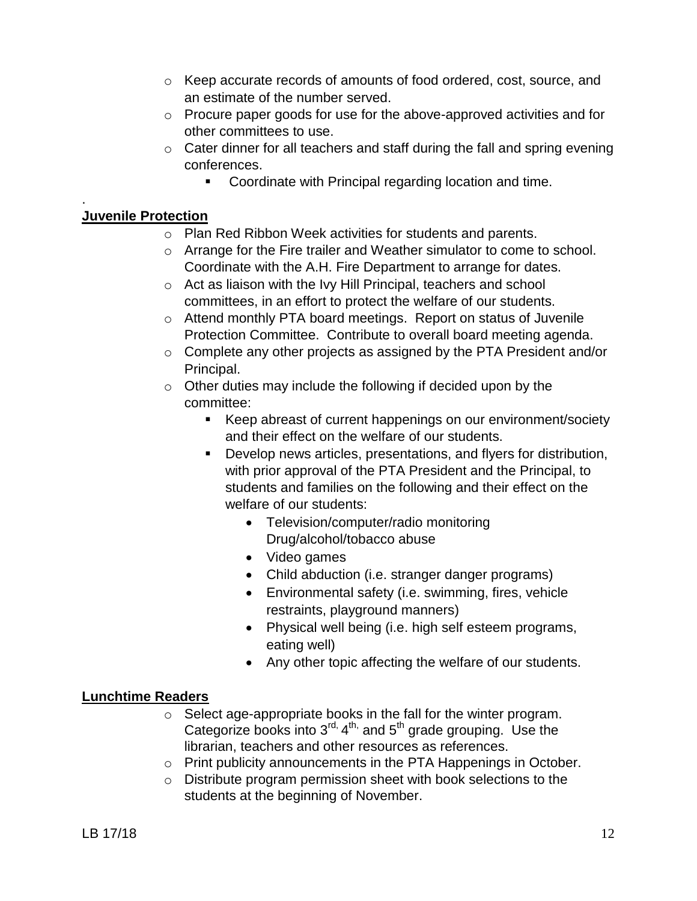- o Keep accurate records of amounts of food ordered, cost, source, and an estimate of the number served.
- $\circ$  Procure paper goods for use for the above-approved activities and for other committees to use.
- $\circ$  Cater dinner for all teachers and staff during the fall and spring evening conferences.
	- **Coordinate with Principal regarding location and time.**

## **Juvenile Protection**

.

- o Plan Red Ribbon Week activities for students and parents.
- o Arrange for the Fire trailer and Weather simulator to come to school. Coordinate with the A.H. Fire Department to arrange for dates.
- o Act as liaison with the Ivy Hill Principal, teachers and school committees, in an effort to protect the welfare of our students.
- o Attend monthly PTA board meetings. Report on status of Juvenile Protection Committee. Contribute to overall board meeting agenda.
- o Complete any other projects as assigned by the PTA President and/or Principal.
- $\circ$  Other duties may include the following if decided upon by the committee:
	- Keep abreast of current happenings on our environment/society and their effect on the welfare of our students.
	- Develop news articles, presentations, and flyers for distribution, with prior approval of the PTA President and the Principal, to students and families on the following and their effect on the welfare of our students:
		- Television/computer/radio monitoring Drug/alcohol/tobacco abuse
		- Video games
		- Child abduction (i.e. stranger danger programs)
		- Environmental safety (i.e. swimming, fires, vehicle restraints, playground manners)
		- Physical well being (i.e. high self esteem programs, eating well)
		- Any other topic affecting the welfare of our students.

## **Lunchtime Readers**

- o Select age-appropriate books in the fall for the winter program. Categorize books into  $3<sup>rd</sup>$ ,  $4<sup>th</sup>$ , and  $5<sup>th</sup>$  grade grouping. Use the librarian, teachers and other resources as references.
- o Print publicity announcements in the PTA Happenings in October.
- o Distribute program permission sheet with book selections to the students at the beginning of November.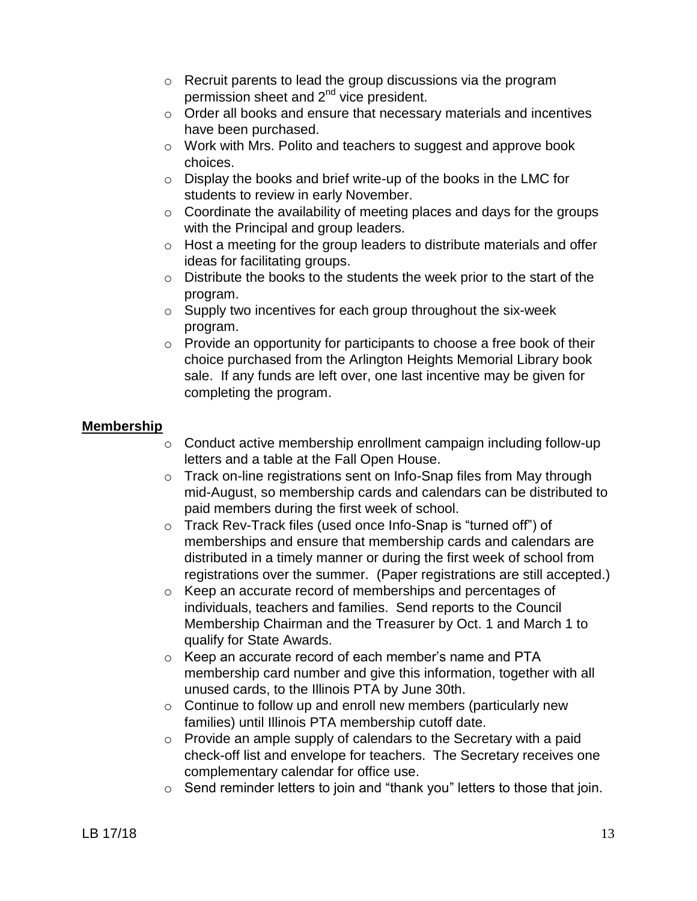- o Recruit parents to lead the group discussions via the program permission sheet and 2nd vice president.
- o Order all books and ensure that necessary materials and incentives have been purchased.
- o Work with Mrs. Polito and teachers to suggest and approve book choices.
- o Display the books and brief write-up of the books in the LMC for students to review in early November.
- $\circ$  Coordinate the availability of meeting places and days for the groups with the Principal and group leaders.
- o Host a meeting for the group leaders to distribute materials and offer ideas for facilitating groups.
- o Distribute the books to the students the week prior to the start of the program.
- $\circ$  Supply two incentives for each group throughout the six-week program.
- $\circ$  Provide an opportunity for participants to choose a free book of their choice purchased from the Arlington Heights Memorial Library book sale. If any funds are left over, one last incentive may be given for completing the program.

## **Membership**

- o Conduct active membership enrollment campaign including follow-up letters and a table at the Fall Open House.
- o Track on-line registrations sent on Info-Snap files from May through mid-August, so membership cards and calendars can be distributed to paid members during the first week of school.
- o Track Rev-Track files (used once Info-Snap is "turned off") of memberships and ensure that membership cards and calendars are distributed in a timely manner or during the first week of school from registrations over the summer. (Paper registrations are still accepted.)
- o Keep an accurate record of memberships and percentages of individuals, teachers and families. Send reports to the Council Membership Chairman and the Treasurer by Oct. 1 and March 1 to qualify for State Awards.
- o Keep an accurate record of each member's name and PTA membership card number and give this information, together with all unused cards, to the Illinois PTA by June 30th.
- o Continue to follow up and enroll new members (particularly new families) until Illinois PTA membership cutoff date.
- o Provide an ample supply of calendars to the Secretary with a paid check-off list and envelope for teachers. The Secretary receives one complementary calendar for office use.
- o Send reminder letters to join and "thank you" letters to those that join.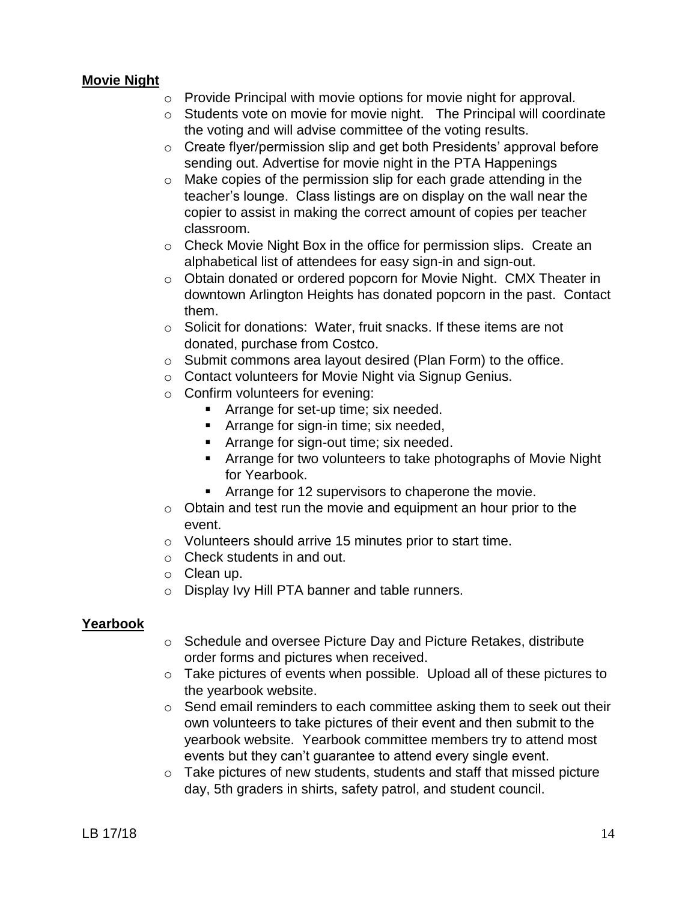#### **Movie Night**

- o Provide Principal with movie options for movie night for approval.
- o Students vote on movie for movie night. The Principal will coordinate the voting and will advise committee of the voting results.
- o Create flyer/permission slip and get both Presidents' approval before sending out. Advertise for movie night in the PTA Happenings
- o Make copies of the permission slip for each grade attending in the teacher's lounge. Class listings are on display on the wall near the copier to assist in making the correct amount of copies per teacher classroom.
- $\circ$  Check Movie Night Box in the office for permission slips. Create an alphabetical list of attendees for easy sign-in and sign-out.
- o Obtain donated or ordered popcorn for Movie Night. CMX Theater in downtown Arlington Heights has donated popcorn in the past. Contact them.
- o Solicit for donations: Water, fruit snacks. If these items are not donated, purchase from Costco.
- o Submit commons area layout desired (Plan Form) to the office.
- o Contact volunteers for Movie Night via Signup Genius.
- o Confirm volunteers for evening:
	- **Arrange for set-up time; six needed.**
	- **Arrange for sign-in time; six needed,**
	- **F** Arrange for sign-out time; six needed.
	- Arrange for two volunteers to take photographs of Movie Night for Yearbook.
	- Arrange for 12 supervisors to chaperone the movie.
- $\circ$  Obtain and test run the movie and equipment an hour prior to the event.
- o Volunteers should arrive 15 minutes prior to start time.
- o Check students in and out.
- o Clean up.
- o Display Ivy Hill PTA banner and table runners.

#### **Yearbook**

- o Schedule and oversee Picture Day and Picture Retakes, distribute order forms and pictures when received.
- o Take pictures of events when possible. Upload all of these pictures to the yearbook website.
- o Send email reminders to each committee asking them to seek out their own volunteers to take pictures of their event and then submit to the yearbook website. Yearbook committee members try to attend most events but they can't guarantee to attend every single event.
- o Take pictures of new students, students and staff that missed picture day, 5th graders in shirts, safety patrol, and student council.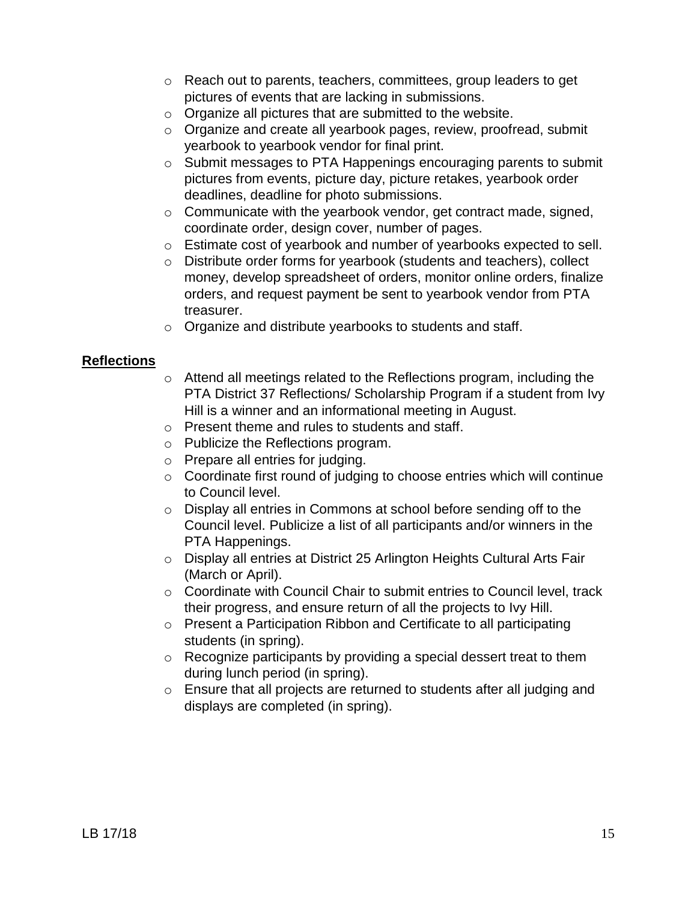- o Reach out to parents, teachers, committees, group leaders to get pictures of events that are lacking in submissions.
- o Organize all pictures that are submitted to the website.
- o Organize and create all yearbook pages, review, proofread, submit yearbook to yearbook vendor for final print.
- o Submit messages to PTA Happenings encouraging parents to submit pictures from events, picture day, picture retakes, yearbook order deadlines, deadline for photo submissions.
- $\circ$  Communicate with the yearbook vendor, get contract made, signed, coordinate order, design cover, number of pages.
- o Estimate cost of yearbook and number of yearbooks expected to sell.
- o Distribute order forms for yearbook (students and teachers), collect money, develop spreadsheet of orders, monitor online orders, finalize orders, and request payment be sent to yearbook vendor from PTA treasurer.
- o Organize and distribute yearbooks to students and staff.

#### **Reflections**

- $\circ$  Attend all meetings related to the Reflections program, including the PTA District 37 Reflections/ Scholarship Program if a student from Ivy Hill is a winner and an informational meeting in August.
- o Present theme and rules to students and staff.
- o Publicize the Reflections program.
- o Prepare all entries for judging.
- o Coordinate first round of judging to choose entries which will continue to Council level.
- o Display all entries in Commons at school before sending off to the Council level. Publicize a list of all participants and/or winners in the PTA Happenings.
- o Display all entries at District 25 Arlington Heights Cultural Arts Fair (March or April).
- o Coordinate with Council Chair to submit entries to Council level, track their progress, and ensure return of all the projects to Ivy Hill.
- o Present a Participation Ribbon and Certificate to all participating students (in spring).
- o Recognize participants by providing a special dessert treat to them during lunch period (in spring).
- o Ensure that all projects are returned to students after all judging and displays are completed (in spring).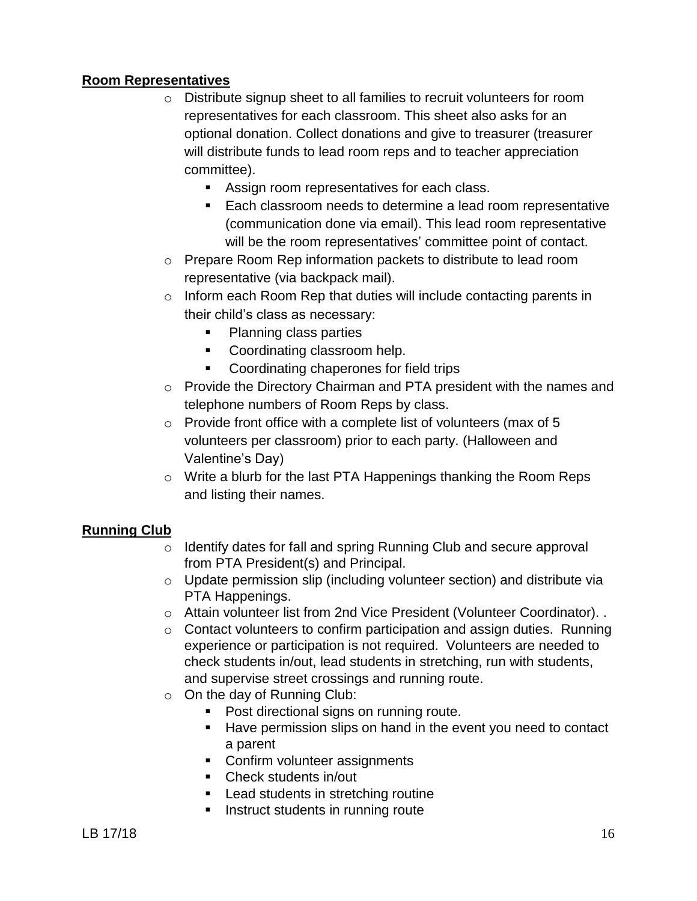## **Room Representatives**

- o Distribute signup sheet to all families to recruit volunteers for room representatives for each classroom. This sheet also asks for an optional donation. Collect donations and give to treasurer (treasurer will distribute funds to lead room reps and to teacher appreciation committee).
	- **Assign room representatives for each class.**
	- **Each classroom needs to determine a lead room representative** (communication done via email). This lead room representative will be the room representatives' committee point of contact.
- o Prepare Room Rep information packets to distribute to lead room representative (via backpack mail).
- $\circ$  Inform each Room Rep that duties will include contacting parents in their child's class as necessary:
	- Planning class parties
	- **Coordinating classroom help.**
	- **Coordinating chaperones for field trips**
- o Provide the Directory Chairman and PTA president with the names and telephone numbers of Room Reps by class.
- $\circ$  Provide front office with a complete list of volunteers (max of 5 volunteers per classroom) prior to each party. (Halloween and Valentine's Day)
- o Write a blurb for the last PTA Happenings thanking the Room Reps and listing their names.

## **Running Club**

- o Identify dates for fall and spring Running Club and secure approval from PTA President(s) and Principal.
- o Update permission slip (including volunteer section) and distribute via PTA Happenings.
- o Attain volunteer list from 2nd Vice President (Volunteer Coordinator). .
- $\circ$  Contact volunteers to confirm participation and assign duties. Running experience or participation is not required. Volunteers are needed to check students in/out, lead students in stretching, run with students, and supervise street crossings and running route.
- $\circ$  On the day of Running Club:
	- **Post directional signs on running route.**
	- Have permission slips on hand in the event you need to contact a parent
	- Confirm volunteer assignments
	- Check students in/out
	- **Lead students in stretching routine**
	- **Instruct students in running route**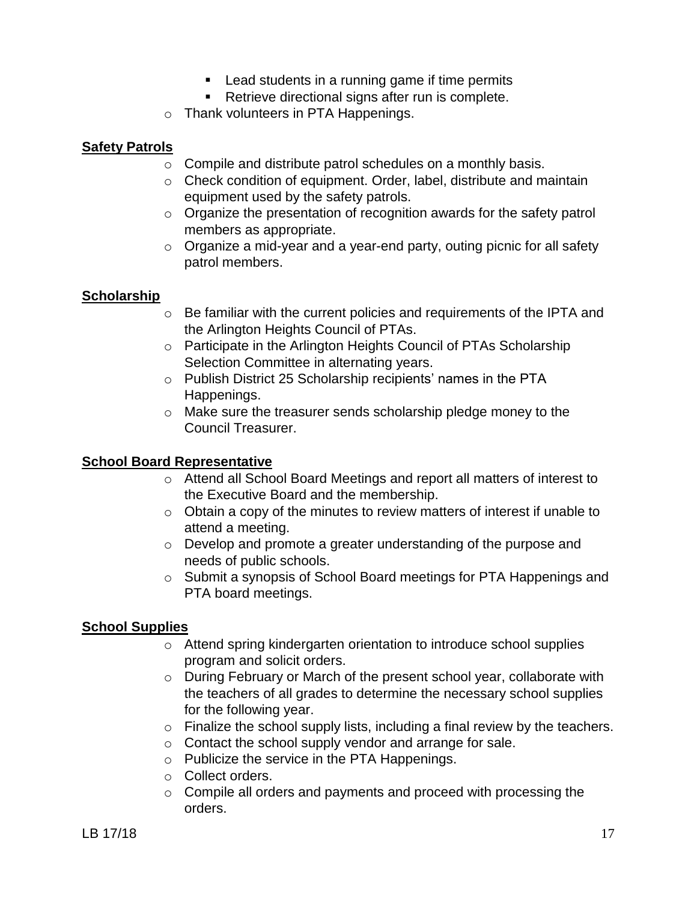- **EXECT** Lead students in a running game if time permits
- **Retrieve directional signs after run is complete.**
- o Thank volunteers in PTA Happenings.

#### **Safety Patrols**

- $\circ$  Compile and distribute patrol schedules on a monthly basis.
- o Check condition of equipment. Order, label, distribute and maintain equipment used by the safety patrols.
- $\circ$  Organize the presentation of recognition awards for the safety patrol members as appropriate.
- $\circ$  Organize a mid-year and a year-end party, outing picnic for all safety patrol members.

## **Scholarship**

- o Be familiar with the current policies and requirements of the IPTA and the Arlington Heights Council of PTAs.
- o Participate in the Arlington Heights Council of PTAs Scholarship Selection Committee in alternating years.
- o Publish District 25 Scholarship recipients' names in the PTA Happenings.
- o Make sure the treasurer sends scholarship pledge money to the Council Treasurer.

## **School Board Representative**

- o Attend all School Board Meetings and report all matters of interest to the Executive Board and the membership.
- $\circ$  Obtain a copy of the minutes to review matters of interest if unable to attend a meeting.
- o Develop and promote a greater understanding of the purpose and needs of public schools.
- $\circ$  Submit a synopsis of School Board meetings for PTA Happenings and PTA board meetings.

## **School Supplies**

- o Attend spring kindergarten orientation to introduce school supplies program and solicit orders.
- o During February or March of the present school year, collaborate with the teachers of all grades to determine the necessary school supplies for the following year.
- $\circ$  Finalize the school supply lists, including a final review by the teachers.
- o Contact the school supply vendor and arrange for sale.
- o Publicize the service in the PTA Happenings.
- o Collect orders.
- o Compile all orders and payments and proceed with processing the orders.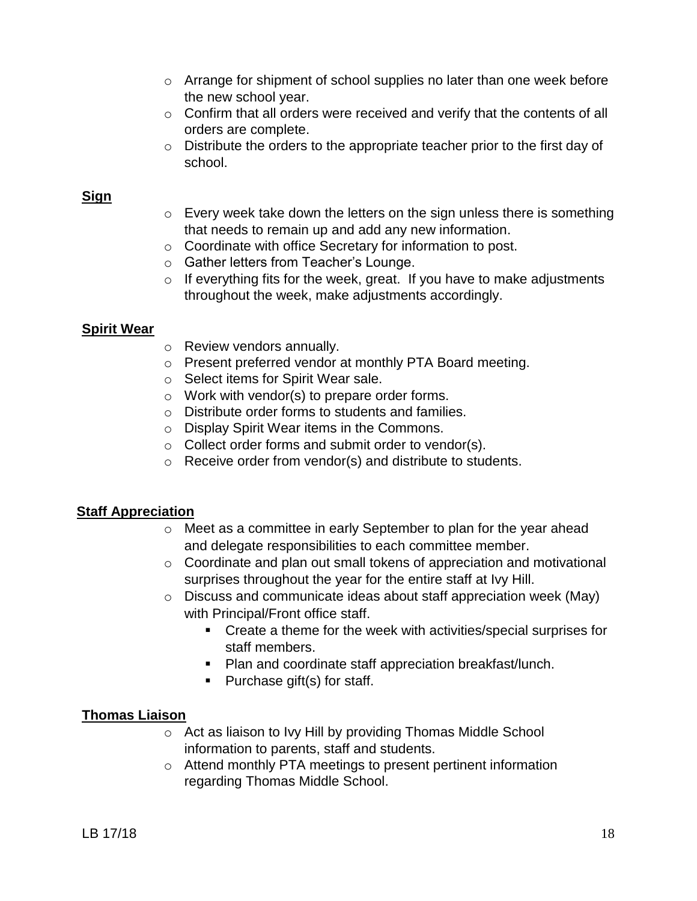- o Arrange for shipment of school supplies no later than one week before the new school year.
- $\circ$  Confirm that all orders were received and verify that the contents of all orders are complete.
- $\circ$  Distribute the orders to the appropriate teacher prior to the first day of school.

## **Sign**

- $\circ$  Every week take down the letters on the sign unless there is something that needs to remain up and add any new information.
- o Coordinate with office Secretary for information to post.
- o Gather letters from Teacher's Lounge.
- $\circ$  If everything fits for the week, great. If you have to make adjustments throughout the week, make adjustments accordingly.

## **Spirit Wear**

- o Review vendors annually.
- o Present preferred vendor at monthly PTA Board meeting.
- o Select items for Spirit Wear sale.
- o Work with vendor(s) to prepare order forms.
- o Distribute order forms to students and families.
- o Display Spirit Wear items in the Commons.
- o Collect order forms and submit order to vendor(s).
- o Receive order from vendor(s) and distribute to students.

## **Staff Appreciation**

- o Meet as a committee in early September to plan for the year ahead and delegate responsibilities to each committee member.
- o Coordinate and plan out small tokens of appreciation and motivational surprises throughout the year for the entire staff at Ivy Hill.
- o Discuss and communicate ideas about staff appreciation week (May) with Principal/Front office staff.
	- Create a theme for the week with activities/special surprises for staff members.
	- **Plan and coordinate staff appreciation breakfast/lunch.**
	- $\blacksquare$  Purchase gift(s) for staff.

## **Thomas Liaison**

- o Act as liaison to Ivy Hill by providing Thomas Middle School information to parents, staff and students.
- o Attend monthly PTA meetings to present pertinent information regarding Thomas Middle School.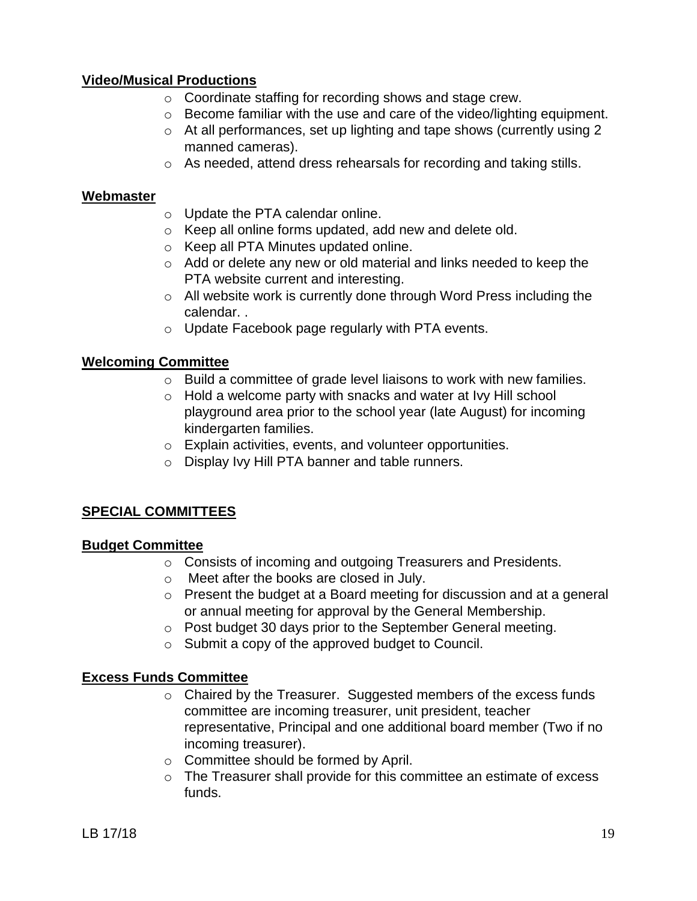### **Video/Musical Productions**

- o Coordinate staffing for recording shows and stage crew.
- $\circ$  Become familiar with the use and care of the video/lighting equipment.
- o At all performances, set up lighting and tape shows (currently using 2 manned cameras).
- o As needed, attend dress rehearsals for recording and taking stills.

#### **Webmaster**

- o Update the PTA calendar online.
- o Keep all online forms updated, add new and delete old.
- o Keep all PTA Minutes updated online.
- o Add or delete any new or old material and links needed to keep the PTA website current and interesting.
- o All website work is currently done through Word Press including the calendar. .
- o Update Facebook page regularly with PTA events.

#### **Welcoming Committee**

- o Build a committee of grade level liaisons to work with new families.
- o Hold a welcome party with snacks and water at Ivy Hill school playground area prior to the school year (late August) for incoming kindergarten families.
- o Explain activities, events, and volunteer opportunities.
- o Display Ivy Hill PTA banner and table runners.

## **SPECIAL COMMITTEES**

#### **Budget Committee**

- o Consists of incoming and outgoing Treasurers and Presidents.
- o Meet after the books are closed in July.
- o Present the budget at a Board meeting for discussion and at a general or annual meeting for approval by the General Membership.
- o Post budget 30 days prior to the September General meeting.
- o Submit a copy of the approved budget to Council.

#### **Excess Funds Committee**

- o Chaired by the Treasurer. Suggested members of the excess funds committee are incoming treasurer, unit president, teacher representative, Principal and one additional board member (Two if no incoming treasurer).
- o Committee should be formed by April.
- $\circ$  The Treasurer shall provide for this committee an estimate of excess funds.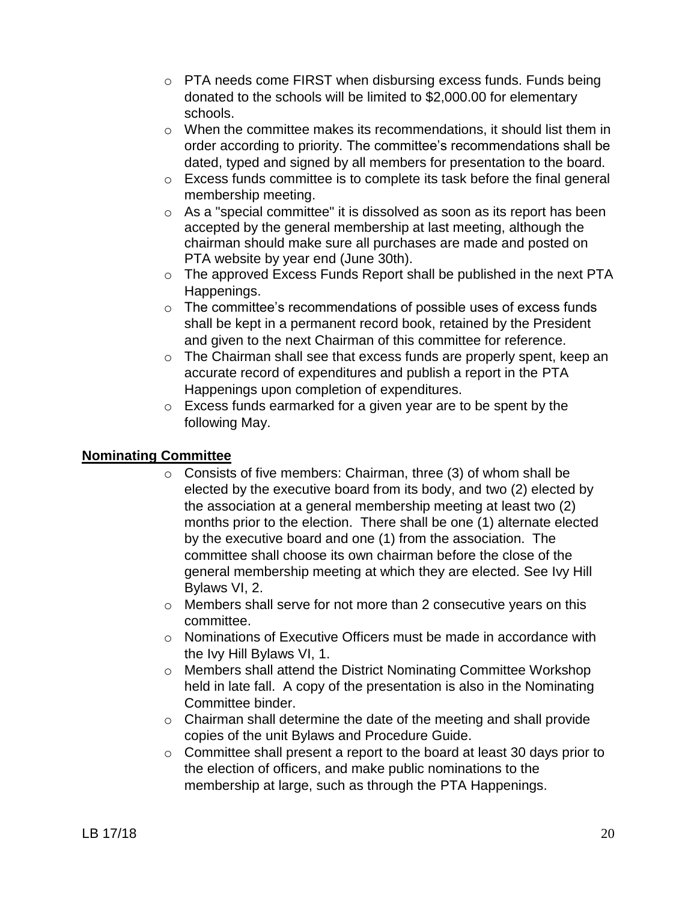- $\circ$  PTA needs come FIRST when disbursing excess funds. Funds being donated to the schools will be limited to \$2,000.00 for elementary schools.
- $\circ$  When the committee makes its recommendations, it should list them in order according to priority. The committee's recommendations shall be dated, typed and signed by all members for presentation to the board.
- o Excess funds committee is to complete its task before the final general membership meeting.
- o As a "special committee" it is dissolved as soon as its report has been accepted by the general membership at last meeting, although the chairman should make sure all purchases are made and posted on PTA website by year end (June 30th).
- o The approved Excess Funds Report shall be published in the next PTA Happenings.
- o The committee's recommendations of possible uses of excess funds shall be kept in a permanent record book, retained by the President and given to the next Chairman of this committee for reference.
- o The Chairman shall see that excess funds are properly spent, keep an accurate record of expenditures and publish a report in the PTA Happenings upon completion of expenditures.
- o Excess funds earmarked for a given year are to be spent by the following May.

## **Nominating Committee**

- $\circ$  Consists of five members: Chairman, three (3) of whom shall be elected by the executive board from its body, and two (2) elected by the association at a general membership meeting at least two (2) months prior to the election. There shall be one (1) alternate elected by the executive board and one (1) from the association. The committee shall choose its own chairman before the close of the general membership meeting at which they are elected. See Ivy Hill Bylaws VI, 2.
- o Members shall serve for not more than 2 consecutive years on this committee.
- o Nominations of Executive Officers must be made in accordance with the Ivy Hill Bylaws VI, 1.
- o Members shall attend the District Nominating Committee Workshop held in late fall. A copy of the presentation is also in the Nominating Committee binder.
- o Chairman shall determine the date of the meeting and shall provide copies of the unit Bylaws and Procedure Guide.
- o Committee shall present a report to the board at least 30 days prior to the election of officers, and make public nominations to the membership at large, such as through the PTA Happenings.